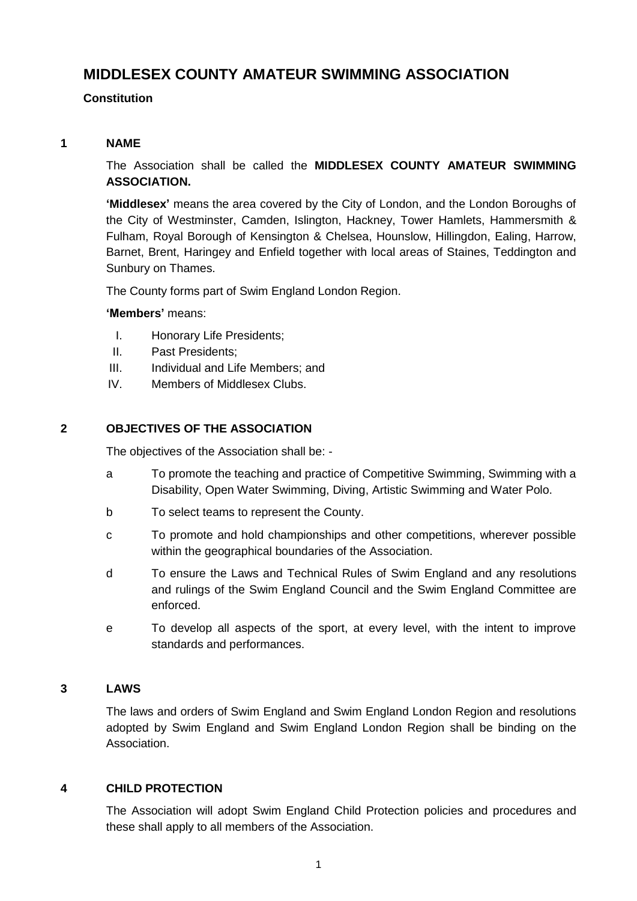# **MIDDLESEX COUNTY AMATEUR SWIMMING ASSOCIATION**

# **Constitution**

### **1 NAME**

The Association shall be called the **MIDDLESEX COUNTY AMATEUR SWIMMING ASSOCIATION.**

**'Middlesex'** means the area covered by the City of London, and the London Boroughs of the City of Westminster, Camden, Islington, Hackney, Tower Hamlets, Hammersmith & Fulham, Royal Borough of Kensington & Chelsea, Hounslow, Hillingdon, Ealing, Harrow, Barnet, Brent, Haringey and Enfield together with local areas of Staines, Teddington and Sunbury on Thames.

The County forms part of Swim England London Region.

### **'Members'** means:

- I. Honorary Life Presidents;
- II. Past Presidents;
- III. Individual and Life Members; and
- IV. Members of Middlesex Clubs.

### **2 OBJECTIVES OF THE ASSOCIATION**

The objectives of the Association shall be: -

- a To promote the teaching and practice of Competitive Swimming, Swimming with a Disability, Open Water Swimming, Diving, Artistic Swimming and Water Polo.
- b To select teams to represent the County.
- c To promote and hold championships and other competitions, wherever possible within the geographical boundaries of the Association.
- d To ensure the Laws and Technical Rules of Swim England and any resolutions and rulings of the Swim England Council and the Swim England Committee are enforced.
- e To develop all aspects of the sport, at every level, with the intent to improve standards and performances.

### **3 LAWS**

The laws and orders of Swim England and Swim England London Region and resolutions adopted by Swim England and Swim England London Region shall be binding on the Association.

### **4 CHILD PROTECTION**

The Association will adopt Swim England Child Protection policies and procedures and these shall apply to all members of the Association.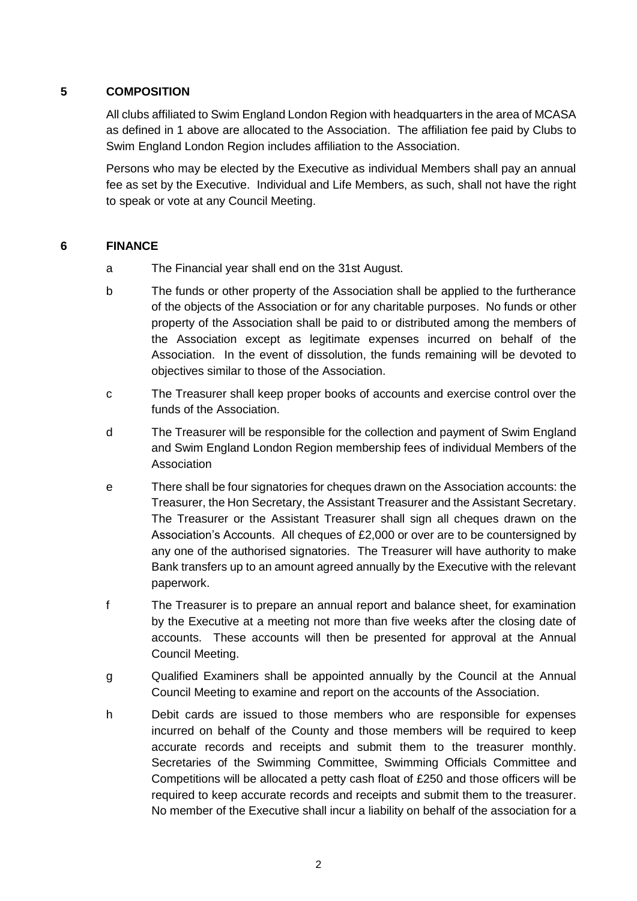# **5 COMPOSITION**

All clubs affiliated to Swim England London Region with headquarters in the area of MCASA as defined in 1 above are allocated to the Association. The affiliation fee paid by Clubs to Swim England London Region includes affiliation to the Association.

Persons who may be elected by the Executive as individual Members shall pay an annual fee as set by the Executive. Individual and Life Members, as such, shall not have the right to speak or vote at any Council Meeting.

### **6 FINANCE**

- a The Financial year shall end on the 31st August.
- b The funds or other property of the Association shall be applied to the furtherance of the objects of the Association or for any charitable purposes. No funds or other property of the Association shall be paid to or distributed among the members of the Association except as legitimate expenses incurred on behalf of the Association. In the event of dissolution, the funds remaining will be devoted to objectives similar to those of the Association.
- c The Treasurer shall keep proper books of accounts and exercise control over the funds of the Association.
- d The Treasurer will be responsible for the collection and payment of Swim England and Swim England London Region membership fees of individual Members of the Association
- e There shall be four signatories for cheques drawn on the Association accounts: the Treasurer, the Hon Secretary, the Assistant Treasurer and the Assistant Secretary. The Treasurer or the Assistant Treasurer shall sign all cheques drawn on the Association's Accounts. All cheques of £2,000 or over are to be countersigned by any one of the authorised signatories. The Treasurer will have authority to make Bank transfers up to an amount agreed annually by the Executive with the relevant paperwork.
- f The Treasurer is to prepare an annual report and balance sheet, for examination by the Executive at a meeting not more than five weeks after the closing date of accounts. These accounts will then be presented for approval at the Annual Council Meeting.
- g Qualified Examiners shall be appointed annually by the Council at the Annual Council Meeting to examine and report on the accounts of the Association.
- h Debit cards are issued to those members who are responsible for expenses incurred on behalf of the County and those members will be required to keep accurate records and receipts and submit them to the treasurer monthly. Secretaries of the Swimming Committee, Swimming Officials Committee and Competitions will be allocated a petty cash float of £250 and those officers will be required to keep accurate records and receipts and submit them to the treasurer. No member of the Executive shall incur a liability on behalf of the association for a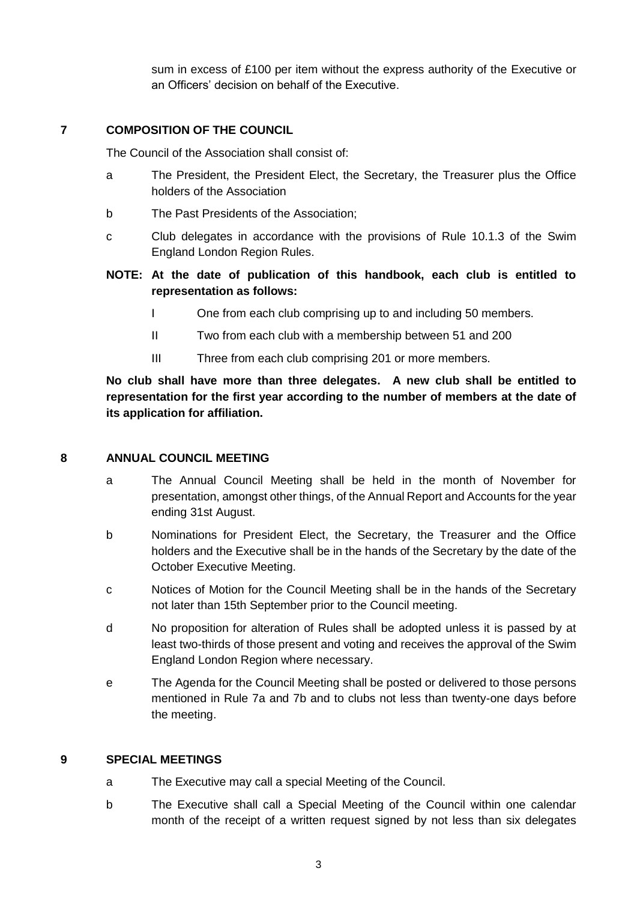sum in excess of £100 per item without the express authority of the Executive or an Officers' decision on behalf of the Executive.

#### **7 COMPOSITION OF THE COUNCIL**

The Council of the Association shall consist of:

- a The President, the President Elect, the Secretary, the Treasurer plus the Office holders of the Association
- b The Past Presidents of the Association;
- c Club delegates in accordance with the provisions of Rule 10.1.3 of the Swim England London Region Rules.

### **NOTE: At the date of publication of this handbook, each club is entitled to representation as follows:**

- I One from each club comprising up to and including 50 members.
- II Two from each club with a membership between 51 and 200
- III Three from each club comprising 201 or more members.

**No club shall have more than three delegates. A new club shall be entitled to representation for the first year according to the number of members at the date of its application for affiliation.**

#### **8 ANNUAL COUNCIL MEETING**

- a The Annual Council Meeting shall be held in the month of November for presentation, amongst other things, of the Annual Report and Accounts for the year ending 31st August.
- b Nominations for President Elect, the Secretary, the Treasurer and the Office holders and the Executive shall be in the hands of the Secretary by the date of the October Executive Meeting.
- c Notices of Motion for the Council Meeting shall be in the hands of the Secretary not later than 15th September prior to the Council meeting.
- d No proposition for alteration of Rules shall be adopted unless it is passed by at least two-thirds of those present and voting and receives the approval of the Swim England London Region where necessary.
- e The Agenda for the Council Meeting shall be posted or delivered to those persons mentioned in Rule 7a and 7b and to clubs not less than twenty-one days before the meeting.

#### **9 SPECIAL MEETINGS**

- a The Executive may call a special Meeting of the Council.
- b The Executive shall call a Special Meeting of the Council within one calendar month of the receipt of a written request signed by not less than six delegates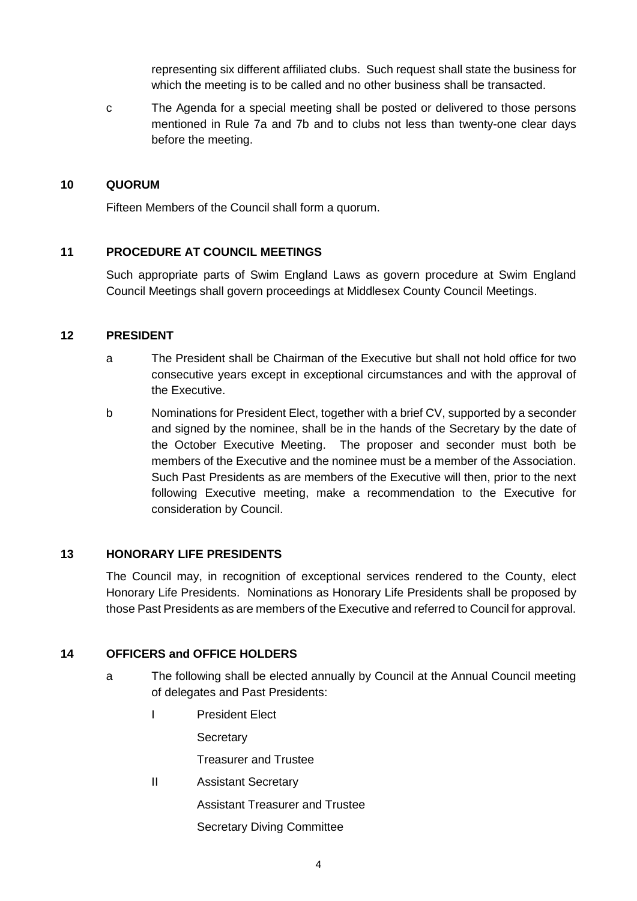representing six different affiliated clubs. Such request shall state the business for which the meeting is to be called and no other business shall be transacted.

c The Agenda for a special meeting shall be posted or delivered to those persons mentioned in Rule 7a and 7b and to clubs not less than twenty-one clear days before the meeting.

#### **10 QUORUM**

Fifteen Members of the Council shall form a quorum.

### **11 PROCEDURE AT COUNCIL MEETINGS**

Such appropriate parts of Swim England Laws as govern procedure at Swim England Council Meetings shall govern proceedings at Middlesex County Council Meetings.

### **12 PRESIDENT**

- a The President shall be Chairman of the Executive but shall not hold office for two consecutive years except in exceptional circumstances and with the approval of the Executive.
- b Nominations for President Elect, together with a brief CV, supported by a seconder and signed by the nominee, shall be in the hands of the Secretary by the date of the October Executive Meeting. The proposer and seconder must both be members of the Executive and the nominee must be a member of the Association. Such Past Presidents as are members of the Executive will then, prior to the next following Executive meeting, make a recommendation to the Executive for consideration by Council.

### **13 HONORARY LIFE PRESIDENTS**

The Council may, in recognition of exceptional services rendered to the County, elect Honorary Life Presidents. Nominations as Honorary Life Presidents shall be proposed by those Past Presidents as are members of the Executive and referred to Council for approval.

### **14 OFFICERS and OFFICE HOLDERS**

- a The following shall be elected annually by Council at the Annual Council meeting of delegates and Past Presidents:
	- I President Elect

**Secretary** 

Treasurer and Trustee

II Assistant Secretary

Assistant Treasurer and Trustee

Secretary Diving Committee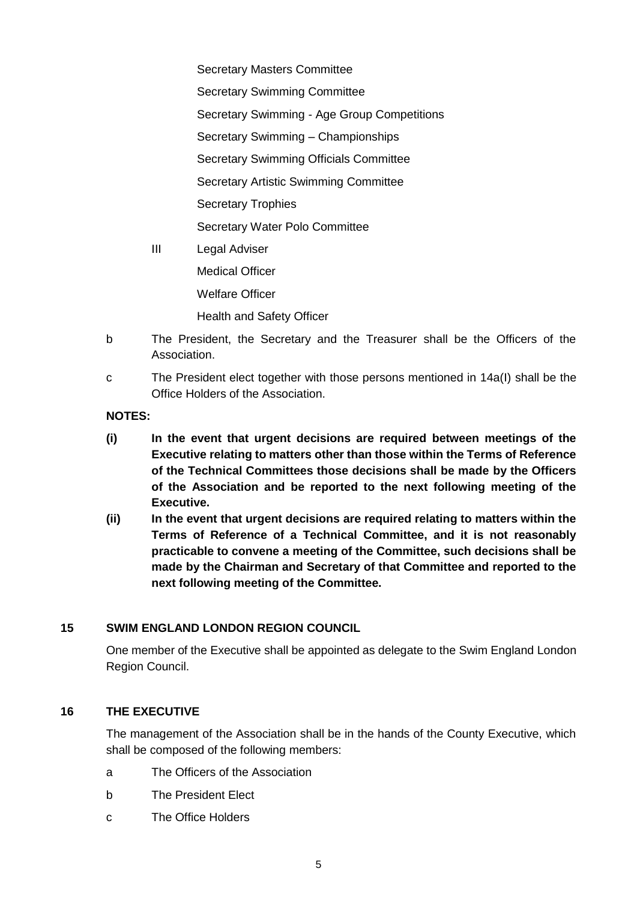Secretary Masters Committee Secretary Swimming Committee Secretary Swimming - Age Group Competitions Secretary Swimming – Championships Secretary Swimming Officials Committee Secretary Artistic Swimming Committee Secretary Trophies Secretary Water Polo Committee III Legal Adviser Medical Officer Welfare Officer Health and Safety Officer

- b The President, the Secretary and the Treasurer shall be the Officers of the Association.
- c The President elect together with those persons mentioned in 14a(I) shall be the Office Holders of the Association.

#### **NOTES:**

- **(i) In the event that urgent decisions are required between meetings of the Executive relating to matters other than those within the Terms of Reference of the Technical Committees those decisions shall be made by the Officers of the Association and be reported to the next following meeting of the Executive.**
- **(ii) In the event that urgent decisions are required relating to matters within the Terms of Reference of a Technical Committee, and it is not reasonably practicable to convene a meeting of the Committee, such decisions shall be made by the Chairman and Secretary of that Committee and reported to the next following meeting of the Committee.**

### **15 SWIM ENGLAND LONDON REGION COUNCIL**

One member of the Executive shall be appointed as delegate to the Swim England London Region Council.

#### **16 THE EXECUTIVE**

The management of the Association shall be in the hands of the County Executive, which shall be composed of the following members:

- a The Officers of the Association
- b The President Elect
- c The Office Holders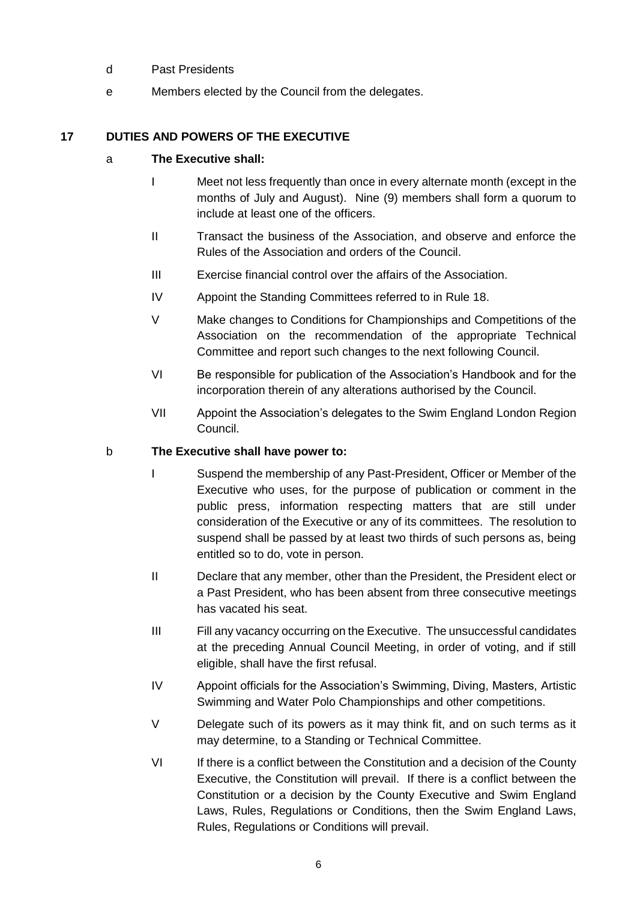- d Past Presidents
- e Members elected by the Council from the delegates.

# **17 DUTIES AND POWERS OF THE EXECUTIVE**

### a **The Executive shall:**

- I Meet not less frequently than once in every alternate month (except in the months of July and August). Nine (9) members shall form a quorum to include at least one of the officers.
- II Transact the business of the Association, and observe and enforce the Rules of the Association and orders of the Council.
- III Exercise financial control over the affairs of the Association.
- IV Appoint the Standing Committees referred to in Rule 18.
- V Make changes to Conditions for Championships and Competitions of the Association on the recommendation of the appropriate Technical Committee and report such changes to the next following Council.
- VI Be responsible for publication of the Association's Handbook and for the incorporation therein of any alterations authorised by the Council.
- VII Appoint the Association's delegates to the Swim England London Region Council.

### b **The Executive shall have power to:**

- I Suspend the membership of any Past-President, Officer or Member of the Executive who uses, for the purpose of publication or comment in the public press, information respecting matters that are still under consideration of the Executive or any of its committees. The resolution to suspend shall be passed by at least two thirds of such persons as, being entitled so to do, vote in person.
- II Declare that any member, other than the President, the President elect or a Past President, who has been absent from three consecutive meetings has vacated his seat.
- III Fill any vacancy occurring on the Executive. The unsuccessful candidates at the preceding Annual Council Meeting, in order of voting, and if still eligible, shall have the first refusal.
- IV Appoint officials for the Association's Swimming, Diving, Masters, Artistic Swimming and Water Polo Championships and other competitions.
- V Delegate such of its powers as it may think fit, and on such terms as it may determine, to a Standing or Technical Committee.
- VI If there is a conflict between the Constitution and a decision of the County Executive, the Constitution will prevail. If there is a conflict between the Constitution or a decision by the County Executive and Swim England Laws, Rules, Regulations or Conditions, then the Swim England Laws, Rules, Regulations or Conditions will prevail.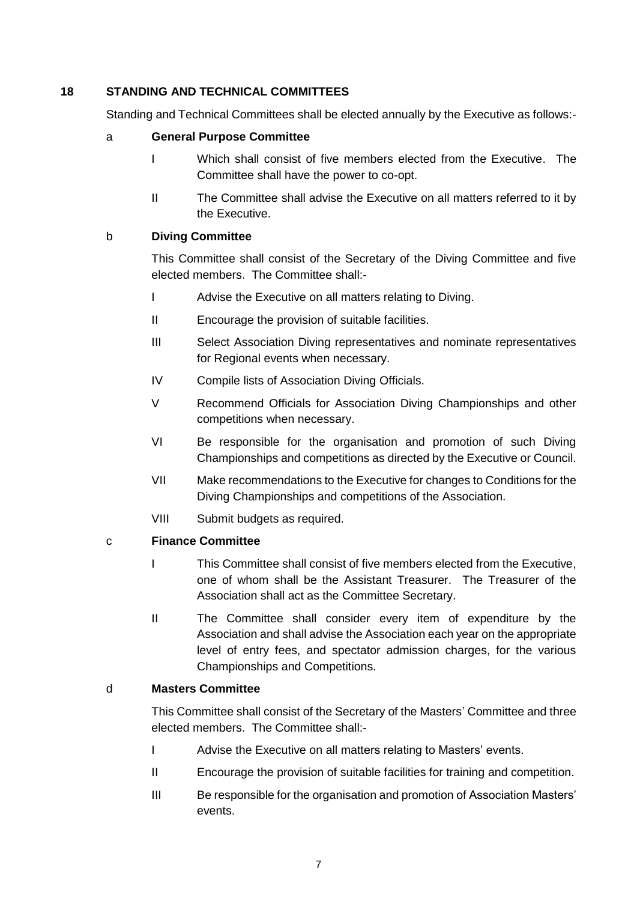### **18 STANDING AND TECHNICAL COMMITTEES**

Standing and Technical Committees shall be elected annually by the Executive as follows:-

### a **General Purpose Committee**

- I Which shall consist of five members elected from the Executive. The Committee shall have the power to co-opt.
- II The Committee shall advise the Executive on all matters referred to it by the Executive.

### b **Diving Committee**

This Committee shall consist of the Secretary of the Diving Committee and five elected members. The Committee shall:-

- I Advise the Executive on all matters relating to Diving.
- II Encourage the provision of suitable facilities.
- III Select Association Diving representatives and nominate representatives for Regional events when necessary.
- IV Compile lists of Association Diving Officials.
- V Recommend Officials for Association Diving Championships and other competitions when necessary.
- VI Be responsible for the organisation and promotion of such Diving Championships and competitions as directed by the Executive or Council.
- VII Make recommendations to the Executive for changes to Conditions for the Diving Championships and competitions of the Association.
- VIII Submit budgets as required.

### c **Finance Committee**

- I This Committee shall consist of five members elected from the Executive, one of whom shall be the Assistant Treasurer. The Treasurer of the Association shall act as the Committee Secretary.
- II The Committee shall consider every item of expenditure by the Association and shall advise the Association each year on the appropriate level of entry fees, and spectator admission charges, for the various Championships and Competitions.

#### d **Masters Committee**

This Committee shall consist of the Secretary of the Masters' Committee and three elected members. The Committee shall:-

- I Advise the Executive on all matters relating to Masters' events.
- II Encourage the provision of suitable facilities for training and competition.
- III Be responsible for the organisation and promotion of Association Masters' events.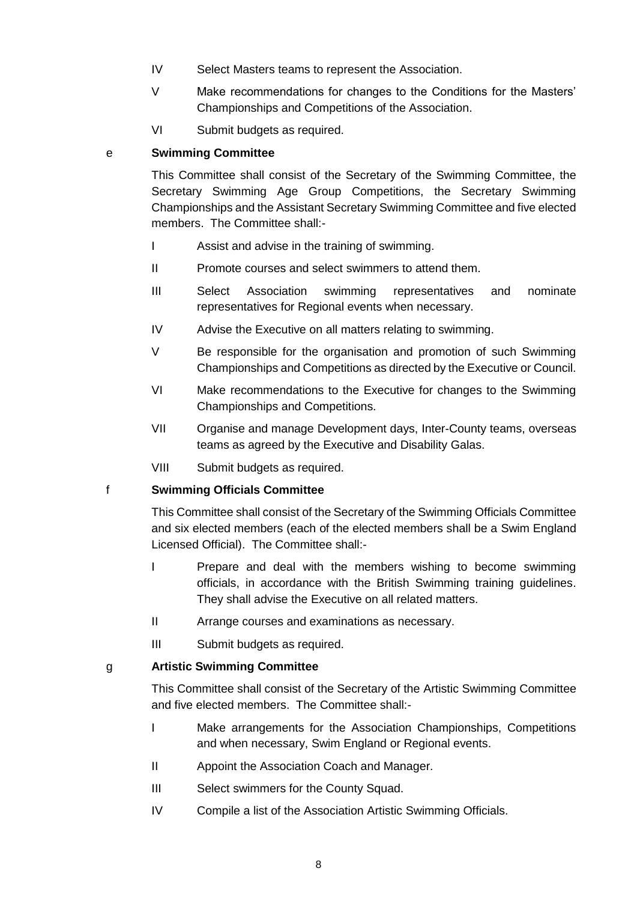- IV Select Masters teams to represent the Association.
- V Make recommendations for changes to the Conditions for the Masters' Championships and Competitions of the Association.
- VI Submit budgets as required.

#### e **Swimming Committee**

This Committee shall consist of the Secretary of the Swimming Committee, the Secretary Swimming Age Group Competitions, the Secretary Swimming Championships and the Assistant Secretary Swimming Committee and five elected members. The Committee shall:-

- I Assist and advise in the training of swimming.
- II Promote courses and select swimmers to attend them.
- III Select Association swimming representatives and nominate representatives for Regional events when necessary.
- IV Advise the Executive on all matters relating to swimming.
- V Be responsible for the organisation and promotion of such Swimming Championships and Competitions as directed by the Executive or Council.
- VI Make recommendations to the Executive for changes to the Swimming Championships and Competitions.
- VII Organise and manage Development days, Inter-County teams, overseas teams as agreed by the Executive and Disability Galas.
- VIII Submit budgets as required.

#### f **Swimming Officials Committee**

This Committee shall consist of the Secretary of the Swimming Officials Committee and six elected members (each of the elected members shall be a Swim England Licensed Official). The Committee shall:-

- I Prepare and deal with the members wishing to become swimming officials, in accordance with the British Swimming training guidelines. They shall advise the Executive on all related matters.
- II Arrange courses and examinations as necessary.
- III Submit budgets as required.

### g **Artistic Swimming Committee**

This Committee shall consist of the Secretary of the Artistic Swimming Committee and five elected members. The Committee shall:-

- I Make arrangements for the Association Championships, Competitions and when necessary, Swim England or Regional events.
- II Appoint the Association Coach and Manager.
- III Select swimmers for the County Squad.
- IV Compile a list of the Association Artistic Swimming Officials.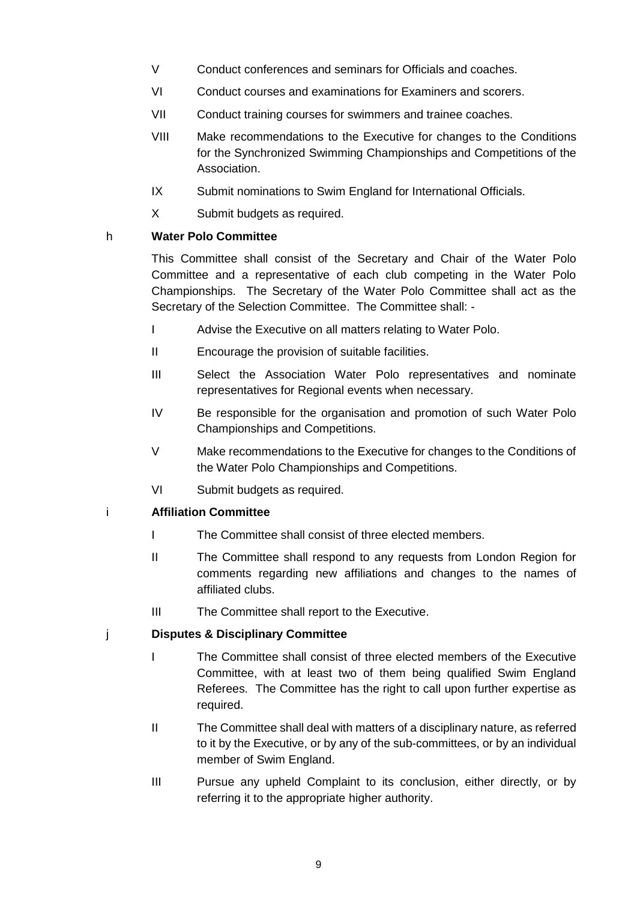- V Conduct conferences and seminars for Officials and coaches.
- VI Conduct courses and examinations for Examiners and scorers.
- VII Conduct training courses for swimmers and trainee coaches.
- VIII Make recommendations to the Executive for changes to the Conditions for the Synchronized Swimming Championships and Competitions of the Association.
- IX Submit nominations to Swim England for International Officials.
- X Submit budgets as required.

### h **Water Polo Committee**

This Committee shall consist of the Secretary and Chair of the Water Polo Committee and a representative of each club competing in the Water Polo Championships. The Secretary of the Water Polo Committee shall act as the Secretary of the Selection Committee. The Committee shall: -

- I Advise the Executive on all matters relating to Water Polo.
- II Encourage the provision of suitable facilities.
- III Select the Association Water Polo representatives and nominate representatives for Regional events when necessary.
- IV Be responsible for the organisation and promotion of such Water Polo Championships and Competitions.
- V Make recommendations to the Executive for changes to the Conditions of the Water Polo Championships and Competitions.
- VI Submit budgets as required.

### i **Affiliation Committee**

- I The Committee shall consist of three elected members.
- II The Committee shall respond to any requests from London Region for comments regarding new affiliations and changes to the names of affiliated clubs.
- III The Committee shall report to the Executive.

### j **Disputes & Disciplinary Committee**

- I The Committee shall consist of three elected members of the Executive Committee, with at least two of them being qualified Swim England Referees. The Committee has the right to call upon further expertise as required.
- II The Committee shall deal with matters of a disciplinary nature, as referred to it by the Executive, or by any of the sub-committees, or by an individual member of Swim England.
- III Pursue any upheld Complaint to its conclusion, either directly, or by referring it to the appropriate higher authority.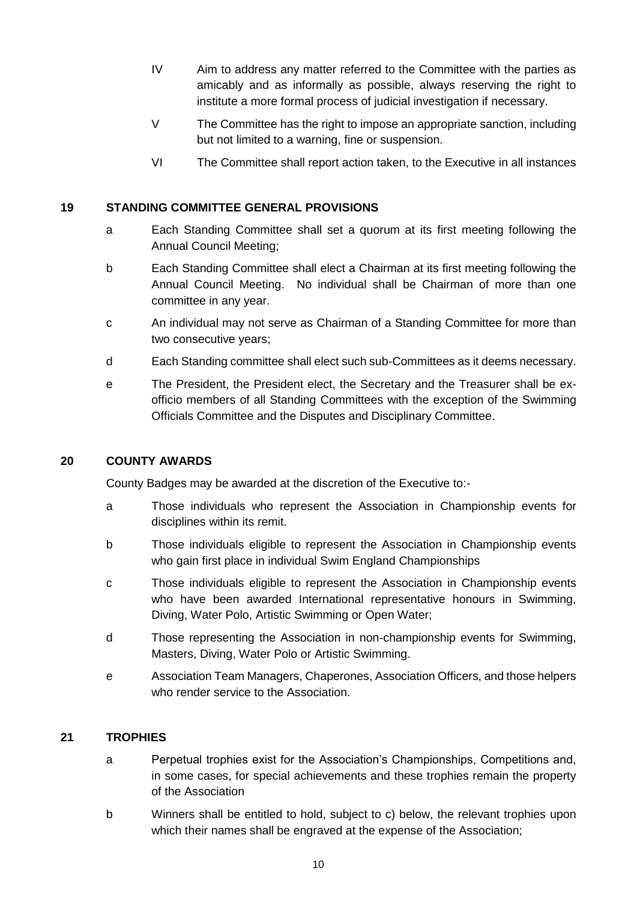- IV Aim to address any matter referred to the Committee with the parties as amicably and as informally as possible, always reserving the right to institute a more formal process of judicial investigation if necessary.
- V The Committee has the right to impose an appropriate sanction, including but not limited to a warning, fine or suspension.
- VI The Committee shall report action taken, to the Executive in all instances

### **19 STANDING COMMITTEE GENERAL PROVISIONS**

- a Each Standing Committee shall set a quorum at its first meeting following the Annual Council Meeting;
- b Each Standing Committee shall elect a Chairman at its first meeting following the Annual Council Meeting. No individual shall be Chairman of more than one committee in any year.
- c An individual may not serve as Chairman of a Standing Committee for more than two consecutive years;
- d Each Standing committee shall elect such sub-Committees as it deems necessary.
- e The President, the President elect, the Secretary and the Treasurer shall be exofficio members of all Standing Committees with the exception of the Swimming Officials Committee and the Disputes and Disciplinary Committee.

### **20 COUNTY AWARDS**

County Badges may be awarded at the discretion of the Executive to:-

- a Those individuals who represent the Association in Championship events for disciplines within its remit.
- b Those individuals eligible to represent the Association in Championship events who gain first place in individual Swim England Championships
- c Those individuals eligible to represent the Association in Championship events who have been awarded International representative honours in Swimming, Diving, Water Polo, Artistic Swimming or Open Water;
- d Those representing the Association in non-championship events for Swimming, Masters, Diving, Water Polo or Artistic Swimming.
- e Association Team Managers, Chaperones, Association Officers, and those helpers who render service to the Association.

### **21 TROPHIES**

- a Perpetual trophies exist for the Association's Championships, Competitions and, in some cases, for special achievements and these trophies remain the property of the Association
- b Winners shall be entitled to hold, subject to c) below, the relevant trophies upon which their names shall be engraved at the expense of the Association;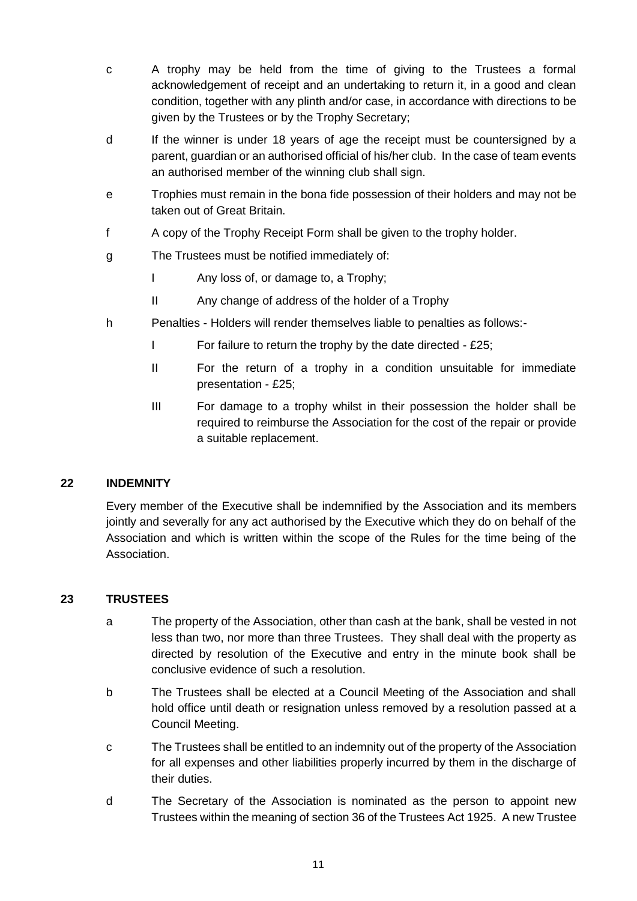- c A trophy may be held from the time of giving to the Trustees a formal acknowledgement of receipt and an undertaking to return it, in a good and clean condition, together with any plinth and/or case, in accordance with directions to be given by the Trustees or by the Trophy Secretary;
- d If the winner is under 18 years of age the receipt must be countersigned by a parent, guardian or an authorised official of his/her club. In the case of team events an authorised member of the winning club shall sign.
- e Trophies must remain in the bona fide possession of their holders and may not be taken out of Great Britain.
- f A copy of the Trophy Receipt Form shall be given to the trophy holder.
- g The Trustees must be notified immediately of:
	- I Any loss of, or damage to, a Trophy;
	- II Any change of address of the holder of a Trophy
- h Penalties Holders will render themselves liable to penalties as follows:-
	- I For failure to return the trophy by the date directed £25;
	- II For the return of a trophy in a condition unsuitable for immediate presentation - £25;
	- III For damage to a trophy whilst in their possession the holder shall be required to reimburse the Association for the cost of the repair or provide a suitable replacement.

### **22 INDEMNITY**

Every member of the Executive shall be indemnified by the Association and its members jointly and severally for any act authorised by the Executive which they do on behalf of the Association and which is written within the scope of the Rules for the time being of the Association.

### **23 TRUSTEES**

- a The property of the Association, other than cash at the bank, shall be vested in not less than two, nor more than three Trustees. They shall deal with the property as directed by resolution of the Executive and entry in the minute book shall be conclusive evidence of such a resolution.
- b The Trustees shall be elected at a Council Meeting of the Association and shall hold office until death or resignation unless removed by a resolution passed at a Council Meeting.
- c The Trustees shall be entitled to an indemnity out of the property of the Association for all expenses and other liabilities properly incurred by them in the discharge of their duties.
- d The Secretary of the Association is nominated as the person to appoint new Trustees within the meaning of section 36 of the Trustees Act 1925. A new Trustee